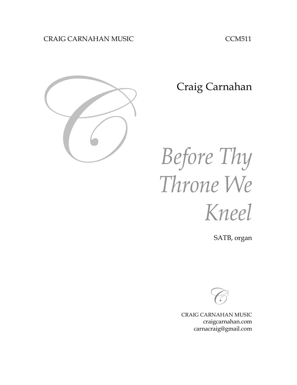CRAIG CARNAHAN MUSIC CCM511



## Kneel

SATB, organ



CRAIG CARNAHAN MUSIC craigcarnahan.com carnacraig@gmail.com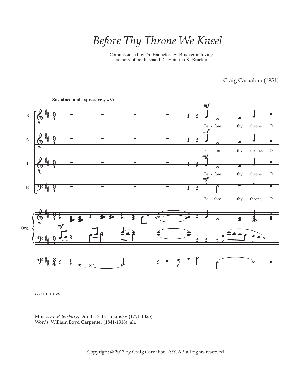## *Before Thy Throne We Kneel*

Commissioned by Dr. Hannelore A. Brucker in loving memory of her husband Dr. Heinrich K. Brucker.

Craig Carnahan (1951)



c. 5 minutes

Music: *St. Petersburg*, Dimitri S. Bortniansky (1751-1825) Words: William Boyd Carpenter (1841-1918), alt.

Copyright © 2017 by Craig Carnahan, ASCAP, all rights reserved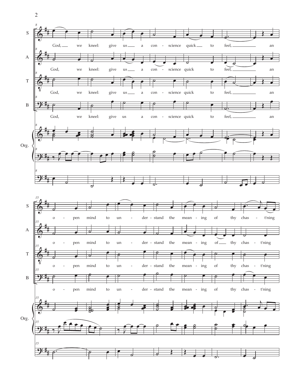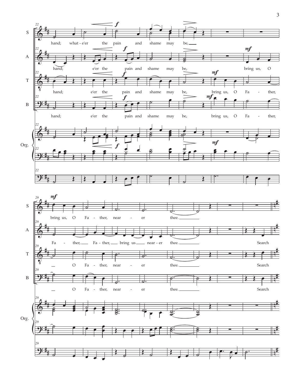

3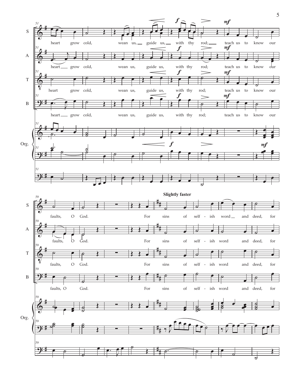